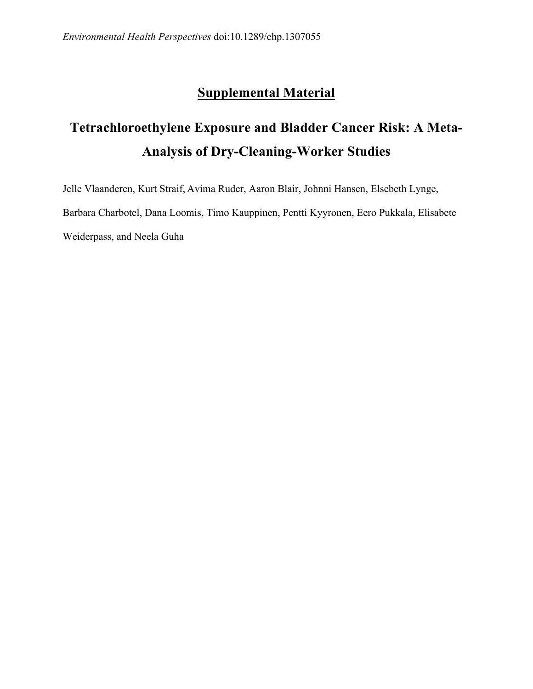## **Supplemental Material**

## **Tetrachloroethylene Exposure and Bladder Cancer Risk: A Meta-Analysis of Dry-Cleaning-Worker Studies**

 Jelle Vlaanderen, Kurt Straif, Avima Ruder, Aaron Blair, Johnni Hansen, Elsebeth Lynge, Barbara Charbotel, Dana Loomis, Timo Kauppinen, Pentti Kyyronen, Eero Pukkala, Elisabete Weiderpass, and Neela Guha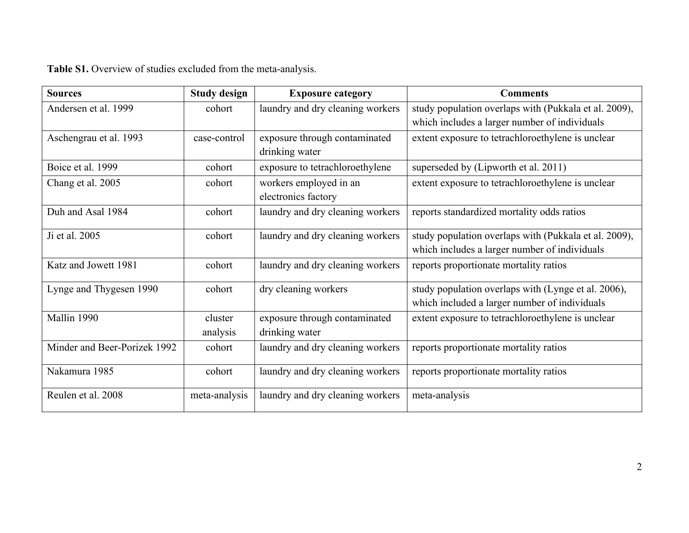| <b>Sources</b>               | <b>Study design</b> | <b>Exposure category</b>         | <b>Comments</b>                                       |
|------------------------------|---------------------|----------------------------------|-------------------------------------------------------|
| Andersen et al. 1999         | cohort              | laundry and dry cleaning workers | study population overlaps with (Pukkala et al. 2009), |
|                              |                     |                                  | which includes a larger number of individuals         |
| Aschengrau et al. 1993       | case-control        | exposure through contaminated    | extent exposure to tetrachloroethylene is unclear     |
|                              |                     | drinking water                   |                                                       |
| Boice et al. 1999            | cohort              | exposure to tetrachloroethylene  | superseded by (Lipworth et al. 2011)                  |
| Chang et al. 2005            | cohort              | workers employed in an           | extent exposure to tetrachloroethylene is unclear     |
|                              |                     | electronics factory              |                                                       |
| Duh and Asal 1984            | cohort              | laundry and dry cleaning workers | reports standardized mortality odds ratios            |
| Ji et al. 2005               | cohort              | laundry and dry cleaning workers | study population overlaps with (Pukkala et al. 2009), |
|                              |                     |                                  | which includes a larger number of individuals         |
|                              |                     |                                  |                                                       |
| Katz and Jowett 1981         | cohort              | laundry and dry cleaning workers | reports proportionate mortality ratios                |
| Lynge and Thygesen 1990      | cohort              | dry cleaning workers             | study population overlaps with (Lynge et al. 2006),   |
|                              |                     |                                  | which included a larger number of individuals         |
| Mallin 1990                  | cluster             | exposure through contaminated    | extent exposure to tetrachloroethylene is unclear     |
|                              | analysis            | drinking water                   |                                                       |
| Minder and Beer-Porizek 1992 | cohort              | laundry and dry cleaning workers | reports proportionate mortality ratios                |
|                              |                     |                                  |                                                       |
| Nakamura 1985                | cohort              | laundry and dry cleaning workers | reports proportionate mortality ratios                |
| Reulen et al. 2008           | meta-analysis       | laundry and dry cleaning workers | meta-analysis                                         |
|                              |                     |                                  |                                                       |

**Table S1.** Overview of studies excluded from the meta-analysis.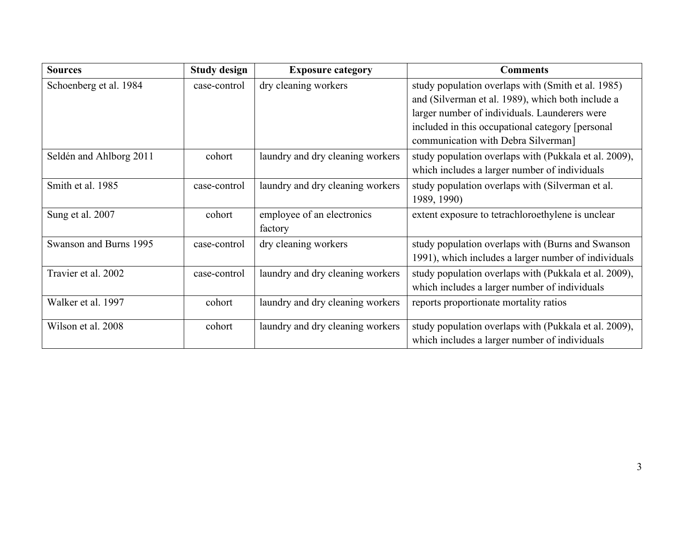| <b>Sources</b>          | <b>Study design</b> | <b>Exposure category</b>         | <b>Comments</b>                                       |
|-------------------------|---------------------|----------------------------------|-------------------------------------------------------|
| Schoenberg et al. 1984  | case-control        | dry cleaning workers             | study population overlaps with (Smith et al. 1985)    |
|                         |                     |                                  | and (Silverman et al. 1989), which both include a     |
|                         |                     |                                  | larger number of individuals. Launderers were         |
|                         |                     |                                  | included in this occupational category [personal]     |
|                         |                     |                                  | communication with Debra Silverman]                   |
| Seldén and Ahlborg 2011 | cohort              | laundry and dry cleaning workers | study population overlaps with (Pukkala et al. 2009), |
|                         |                     |                                  | which includes a larger number of individuals         |
| Smith et al. 1985       | case-control        | laundry and dry cleaning workers | study population overlaps with (Silverman et al.      |
|                         |                     |                                  | 1989, 1990)                                           |
| Sung et al. 2007        | cohort              | employee of an electronics       | extent exposure to tetrachloroethylene is unclear     |
|                         |                     | factory                          |                                                       |
| Swanson and Burns 1995  | case-control        | dry cleaning workers             | study population overlaps with (Burns and Swanson     |
|                         |                     |                                  | 1991), which includes a larger number of individuals  |
| Travier et al. 2002     | case-control        | laundry and dry cleaning workers | study population overlaps with (Pukkala et al. 2009), |
|                         |                     |                                  | which includes a larger number of individuals         |
| Walker et al. 1997      | cohort              | laundry and dry cleaning workers | reports proportionate mortality ratios                |
|                         |                     |                                  |                                                       |
| Wilson et al. 2008      | cohort              | laundry and dry cleaning workers | study population overlaps with (Pukkala et al. 2009), |
|                         |                     |                                  | which includes a larger number of individuals         |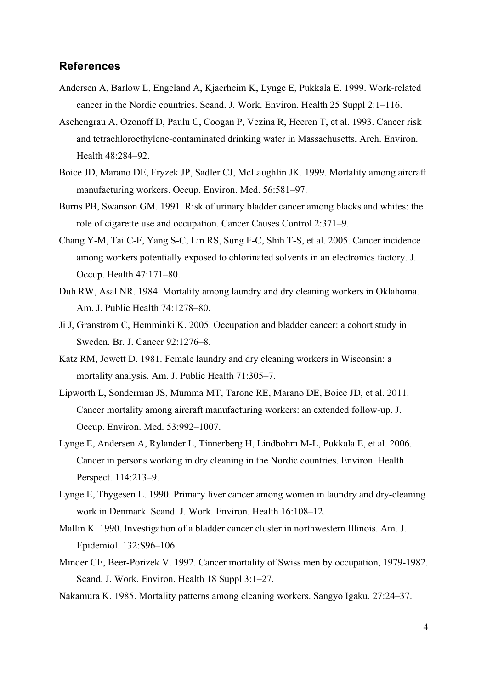## **References**

- Andersen A, Barlow L, Engeland A, Kjaerheim K, Lynge E, Pukkala E. 1999. Work-related cancer in the Nordic countries. Scand. J. Work. Environ. Health 25 Suppl 2:1–116.
- Aschengrau A, Ozonoff D, Paulu C, Coogan P, Vezina R, Heeren T, et al. 1993. Cancer risk and tetrachloroethylene-contaminated drinking water in Massachusetts. Arch. Environ. Health 48:284–92.
- Boice JD, Marano DE, Fryzek JP, Sadler CJ, McLaughlin JK. 1999. Mortality among aircraft manufacturing workers. Occup. Environ. Med. 56:581–97.
- Burns PB, Swanson GM. 1991. Risk of urinary bladder cancer among blacks and whites: the role of cigarette use and occupation. Cancer Causes Control 2:371–9.
- Chang Y-M, Tai C-F, Yang S-C, Lin RS, Sung F-C, Shih T-S, et al. 2005. Cancer incidence among workers potentially exposed to chlorinated solvents in an electronics factory. J. Occup. Health 47:171–80.
- Duh RW, Asal NR. 1984. Mortality among laundry and dry cleaning workers in Oklahoma. Am. J. Public Health 74:1278–80.
- Ji J, Granström C, Hemminki K. 2005. Occupation and bladder cancer: a cohort study in Sweden. Br. J. Cancer 92:1276–8.
- Katz RM, Jowett D. 1981. Female laundry and dry cleaning workers in Wisconsin: a mortality analysis. Am. J. Public Health 71:305–7.
- Lipworth L, Sonderman JS, Mumma MT, Tarone RE, Marano DE, Boice JD, et al. 2011. Cancer mortality among aircraft manufacturing workers: an extended follow-up. J. Occup. Environ. Med. 53:992–1007.
- Lynge E, Andersen A, Rylander L, Tinnerberg H, Lindbohm M-L, Pukkala E, et al. 2006. Cancer in persons working in dry cleaning in the Nordic countries. Environ. Health Perspect. 114:213–9.
- Lynge E, Thygesen L. 1990. Primary liver cancer among women in laundry and dry-cleaning work in Denmark. Scand. J. Work. Environ. Health 16:108–12.
- Mallin K. 1990. Investigation of a bladder cancer cluster in northwestern Illinois. Am. J. Epidemiol. 132:S96–106.
- Minder CE, Beer-Porizek V. 1992. Cancer mortality of Swiss men by occupation, 1979-1982. Scand. J. Work. Environ. Health 18 Suppl 3:1–27.
- Nakamura K. 1985. Mortality patterns among cleaning workers. Sangyo Igaku. 27:24–37.